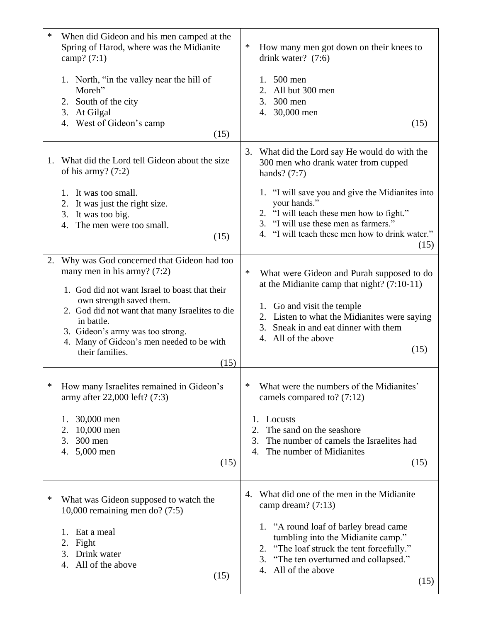| ∗  | When did Gideon and his men camped at the<br>Spring of Harod, where was the Midianite<br>camp? $(7:1)$<br>1. North, "in the valley near the hill of<br>Moreh"<br>2. South of the city<br>3. At Gilgal<br>4. West of Gideon's camp<br>(15)                                                                                             | ∗<br>How many men got down on their knees to<br>drink water? $(7:6)$<br>$500$ men<br>1.<br>All but 300 men<br>2.<br>300 men<br>3.<br>4. 30,000 men<br>(15)                                                                                                                                                          |
|----|---------------------------------------------------------------------------------------------------------------------------------------------------------------------------------------------------------------------------------------------------------------------------------------------------------------------------------------|---------------------------------------------------------------------------------------------------------------------------------------------------------------------------------------------------------------------------------------------------------------------------------------------------------------------|
| 1. | What did the Lord tell Gideon about the size<br>of his army? $(7:2)$<br>It was too small.<br>1.<br>2.<br>It was just the right size.<br>3. It was too big.<br>The men were too small.<br>4.<br>(15)                                                                                                                                   | 3. What did the Lord say He would do with the<br>300 men who drank water from cupped<br>hands? $(7:7)$<br>1. "I will save you and give the Midianites into<br>your hands."<br>2. "I will teach these men how to fight."<br>3. "I will use these men as farmers."<br>4. "I will teach these men how to drink water." |
| 2. | Why was God concerned that Gideon had too<br>many men in his army? $(7:2)$<br>1. God did not want Israel to boast that their<br>own strength saved them.<br>2. God did not want that many Israelites to die<br>in battle.<br>3. Gideon's army was too strong.<br>4. Many of Gideon's men needed to be with<br>their families.<br>(15) | (15)<br>∗<br>What were Gideon and Purah supposed to do<br>at the Midianite camp that night? $(7:10-11)$<br>1. Go and visit the temple<br>2. Listen to what the Midianites were saying<br>3. Sneak in and eat dinner with them<br>4. All of the above<br>(15)                                                        |
| ∗  | How many Israelites remained in Gideon's<br>army after 22,000 left? (7:3)<br>30,000 men<br>1.<br>2.<br>10,000 men<br>3.<br>300 men<br>5,000 men<br>4.<br>(15)                                                                                                                                                                         | What were the numbers of the Midianites'<br>∗<br>camels compared to? $(7:12)$<br>Locusts<br>1.<br>2.<br>The sand on the seashore<br>The number of camels the Israelites had<br>3.<br>The number of Midianites<br>4.<br>(15)                                                                                         |
| ∗  | What was Gideon supposed to watch the<br>10,000 remaining men do? $(7:5)$<br>Eat a meal<br>1.<br>Fight<br>2.<br>Drink water<br>3.<br>All of the above<br>4.<br>(15)                                                                                                                                                                   | What did one of the men in the Midianite<br>4.<br>camp dream? $(7:13)$<br>1. "A round loaf of barley bread came<br>tumbling into the Midianite camp."<br>2. "The loaf struck the tent forcefully."<br>3. "The ten overturned and collapsed."<br>4. All of the above<br>(15)                                         |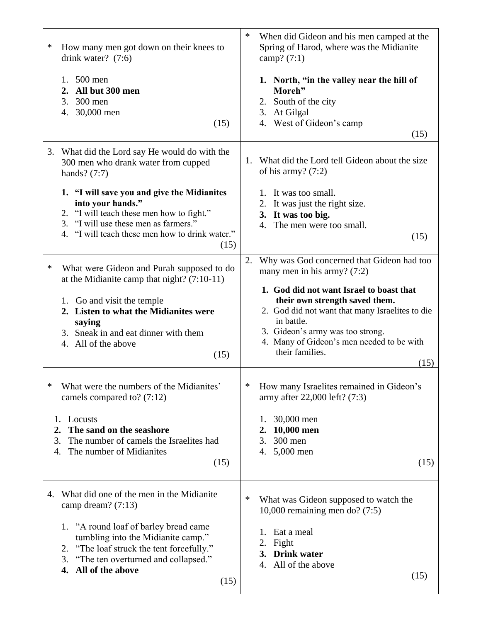| ∗  | How many men got down on their knees to<br>drink water? $(7:6)$<br>$500$ men<br>1.                     | ∗  | When did Gideon and his men camped at the<br>Spring of Harod, where was the Midianite<br>camp? $(7:1)$<br>1. North, "in the valley near the hill of |
|----|--------------------------------------------------------------------------------------------------------|----|-----------------------------------------------------------------------------------------------------------------------------------------------------|
|    | 2. All but 300 men                                                                                     |    | Moreh"                                                                                                                                              |
|    | 3.<br>$300$ men<br>30,000 men<br>4.                                                                    |    | 2. South of the city<br>3. At Gilgal                                                                                                                |
|    | (15)                                                                                                   |    | 4. West of Gideon's camp                                                                                                                            |
|    |                                                                                                        |    | (15)                                                                                                                                                |
|    | 3. What did the Lord say He would do with the<br>300 men who drank water from cupped<br>hands? $(7:7)$ | 1. | What did the Lord tell Gideon about the size<br>of his army? $(7:2)$                                                                                |
|    | 1. "I will save you and give the Midianites                                                            |    | 1. It was too small.                                                                                                                                |
|    | into your hands."                                                                                      |    | 2. It was just the right size.                                                                                                                      |
|    | 2. "I will teach these men how to fight."<br>"I will use these men as farmers."<br>3.                  |    | 3. It was too big.                                                                                                                                  |
|    | 4. "I will teach these men how to drink water."                                                        |    | The men were too small.<br>4.<br>(15)                                                                                                               |
|    | (15)                                                                                                   |    |                                                                                                                                                     |
| ∗  | What were Gideon and Purah supposed to do                                                              | 2. | Why was God concerned that Gideon had too<br>many men in his army? $(7:2)$                                                                          |
|    | at the Midianite camp that night? $(7:10-11)$                                                          |    | 1. God did not want Israel to boast that                                                                                                            |
|    | 1. Go and visit the temple                                                                             |    | their own strength saved them.                                                                                                                      |
|    | 2. Listen to what the Midianites were                                                                  |    | 2. God did not want that many Israelites to die                                                                                                     |
|    | saying                                                                                                 |    | in battle.                                                                                                                                          |
|    | 3. Sneak in and eat dinner with them<br>4. All of the above                                            |    | 3. Gideon's army was too strong.<br>4. Many of Gideon's men needed to be with                                                                       |
|    | (15)                                                                                                   |    | their families.                                                                                                                                     |
|    |                                                                                                        |    | (15)                                                                                                                                                |
| ∗  | What were the numbers of the Midianites'<br>camels compared to? (7:12)                                 | ∗  | How many Israelites remained in Gideon's<br>army after 22,000 left? (7:3)                                                                           |
| 1. | Locusts                                                                                                |    | 30,000 men<br>1.                                                                                                                                    |
| 2. | The sand on the seashore                                                                               |    | 10,000 men<br>2.                                                                                                                                    |
| 3. | The number of camels the Israelites had<br>The number of Midianites                                    |    | 3.<br>300 men                                                                                                                                       |
| 4. | (15)                                                                                                   |    | 5,000 men<br>4.<br>(15)                                                                                                                             |
|    |                                                                                                        |    |                                                                                                                                                     |
| 4. | What did one of the men in the Midianite<br>camp dream? (7:13)                                         | ∗  | What was Gideon supposed to watch the<br>10,000 remaining men do? $(7:5)$                                                                           |
|    | 1. "A round loaf of barley bread came                                                                  |    | Eat a meal<br>1.                                                                                                                                    |
|    | tumbling into the Midianite camp."                                                                     |    | Fight<br>2.                                                                                                                                         |
|    | "The loaf struck the tent forcefully."<br>2.<br>3.<br>"The ten overturned and collapsed."              |    | <b>Drink</b> water<br>3.                                                                                                                            |
|    | All of the above<br>4.                                                                                 |    | All of the above<br>4.                                                                                                                              |
|    | (15)                                                                                                   |    | (15)                                                                                                                                                |
|    |                                                                                                        |    |                                                                                                                                                     |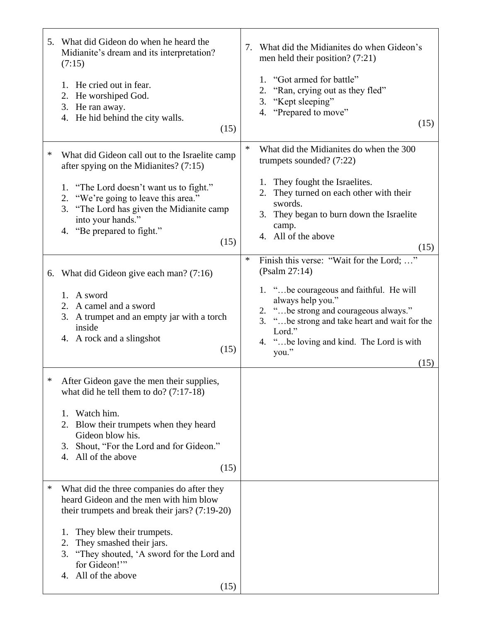|   | 5. What did Gideon do when he heard the<br>Midianite's dream and its interpretation?<br>(7:15)<br>1. He cried out in fear.<br>2. He worshiped God.<br>3. He ran away.<br>4. He hid behind the city walls.<br>(15)                                                                                           | What did the Midianites do when Gideon's<br>7.<br>men held their position? $(7:21)$<br>1. "Got armed for battle"<br>"Ran, crying out as they fled"<br>2.<br>"Kept sleeping"<br>3.<br>4. "Prepared to move"<br>(15)                                                                                      |
|---|-------------------------------------------------------------------------------------------------------------------------------------------------------------------------------------------------------------------------------------------------------------------------------------------------------------|---------------------------------------------------------------------------------------------------------------------------------------------------------------------------------------------------------------------------------------------------------------------------------------------------------|
| ∗ | What did Gideon call out to the Israelite camp<br>after spying on the Midianites? (7:15)<br>1. "The Lord doesn't want us to fight."<br>2. "We're going to leave this area."<br>3. "The Lord has given the Midianite camp<br>into your hands."<br>"Be prepared to fight."<br>4.<br>(15)                      | $\ast$<br>What did the Midianites do when the 300<br>trumpets sounded? $(7:22)$<br>1. They fought the Israelites.<br>They turned on each other with their<br>2.<br>swords.<br>They began to burn down the Israelite<br>3.<br>camp.<br>4. All of the above<br>(15)                                       |
|   | 6. What did Gideon give each man? $(7:16)$<br>1. A sword<br>2. A camel and a sword<br>3. A trumpet and an empty jar with a torch<br>inside<br>4. A rock and a slingshot<br>(15)                                                                                                                             | Finish this verse: "Wait for the Lord; "<br>$\ast$<br>(Psalm 27:14)<br>1. "be courageous and faithful. He will<br>always help you."<br>2. "be strong and courageous always."<br>"be strong and take heart and wait for the<br>3.<br>Lord."<br>4. "be loving and kind. The Lord is with<br>you."<br>(15) |
| ∗ | After Gideon gave the men their supplies,<br>what did he tell them to do? $(7:17-18)$<br>Watch him.<br>1.<br>Blow their trumpets when they heard<br>2.<br>Gideon blow his.<br>Shout, "For the Lord and for Gideon."<br>3.<br>All of the above<br>4.<br>(15)                                                 |                                                                                                                                                                                                                                                                                                         |
| ∗ | What did the three companies do after they<br>heard Gideon and the men with him blow<br>their trumpets and break their jars? $(7:19-20)$<br>They blew their trumpets.<br>1.<br>They smashed their jars.<br>2.<br>3. "They shouted, 'A sword for the Lord and<br>for Gideon!"<br>4. All of the above<br>(15) |                                                                                                                                                                                                                                                                                                         |